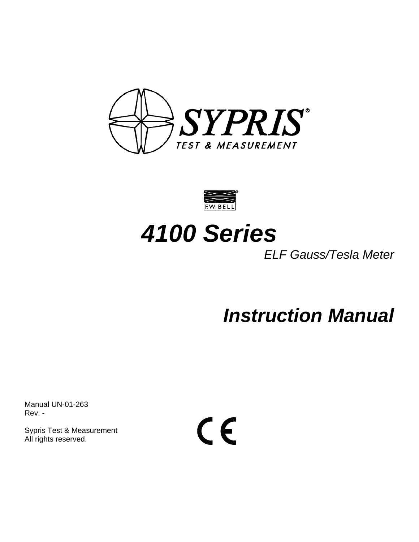



# *4100 Series*

*ELF Gauss/Tesla Meter* 

*Instruction Manual* 

Manual UN-01-263 Rev. -

Sypris Test & Measurement All rights reserved.

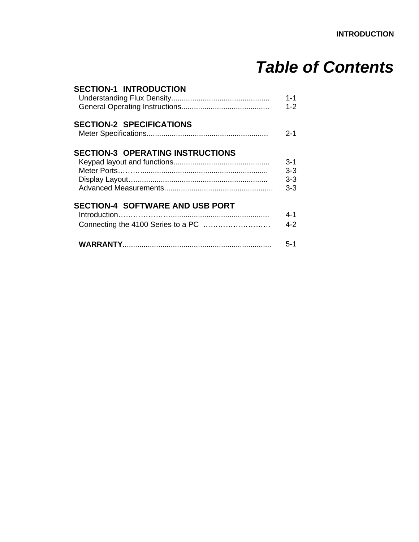# *Table of Contents*

| <b>SECTION-1 INTRODUCTION</b>           | $1 - 1$<br>$1 - 2$                     |
|-----------------------------------------|----------------------------------------|
| <b>SECTION-2 SPECIFICATIONS</b>         | $2 - 1$                                |
| <b>SECTION-3 OPERATING INSTRUCTIONS</b> | $3-1$<br>$3 - 3$<br>$3 - 3$<br>$3 - 3$ |
| <b>SECTION-4 SOFTWARE AND USB PORT</b>  | 4-1<br>$4 - 2$                         |
|                                         | $5-1$                                  |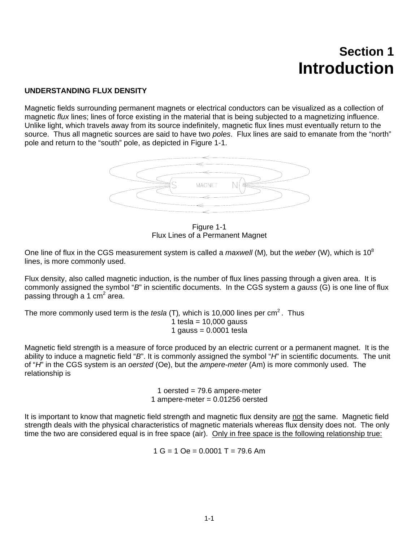# **Section 1 Introduction**

### **UNDERSTANDING FLUX DENSITY**

Magnetic fields surrounding permanent magnets or electrical conductors can be visualized as a collection of magnetic *flux* lines; lines of force existing in the material that is being subjected to a magnetizing influence. Unlike light, which travels away from its source indefinitely, magnetic flux lines must eventually return to the source. Thus all magnetic sources are said to have two *poles*. Flux lines are said to emanate from the "north" pole and return to the "south" pole, as depicted in Figure 1-1.



Figure 1-1 Flux Lines of a Permanent Magnet

One line of flux in the CGS measurement system is called a *maxwell* (M)*,* but the *weber* (W), which is 10<sup>8</sup> lines, is more commonly used.

Flux density, also called magnetic induction, is the number of flux lines passing through a given area. It is commonly assigned the symbol "*B*" in scientific documents. In the CGS system a *gauss* (G) is one line of flux passing through a 1 cm<sup>2</sup> area.

The more commonly used term is the *tesla* (T), which is 10,000 lines per cm<sup>2</sup>. Thus 1 tesla =  $10,000$  gauss 1 gauss  $= 0.0001$  tesla

Magnetic field strength is a measure of force produced by an electric current or a permanent magnet. It is the ability to induce a magnetic field "*B*". It is commonly assigned the symbol "*H*" in scientific documents. The unit of "*H*" in the CGS system is an *oersted* (Oe), but the *ampere-meter* (Am) is more commonly used. The relationship is

> 1 oersted = 79.6 ampere-meter 1 ampere-meter = 0.01256 oersted

It is important to know that magnetic field strength and magnetic flux density are not the same. Magnetic field strength deals with the physical characteristics of magnetic materials whereas flux density does not. The only time the two are considered equal is in free space (air). Only in free space is the following relationship true:

 $1 G = 1 Oe = 0.0001 T = 79.6$  Am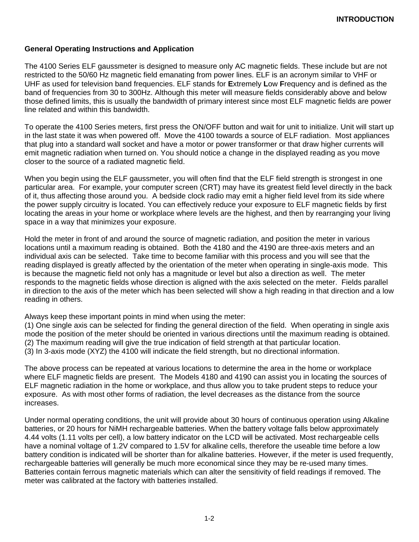### **General Operating Instructions and Application**

The 4100 Series ELF gaussmeter is designed to measure only AC magnetic fields. These include but are not restricted to the 50/60 Hz magnetic field emanating from power lines. ELF is an acronym similar to VHF or UHF as used for television band frequencies. ELF stands for **E**xtremely **L**ow **F**requency and is defined as the band of frequencies from 30 to 300Hz. Although this meter will measure fields considerably above and below those defined limits, this is usually the bandwidth of primary interest since most ELF magnetic fields are power line related and within this bandwidth.

To operate the 4100 Series meters, first press the ON/OFF button and wait for unit to initialize. Unit will start up in the last state it was when powered off. Move the 4100 towards a source of ELF radiation. Most appliances that plug into a standard wall socket and have a motor or power transformer or that draw higher currents will emit magnetic radiation when turned on. You should notice a change in the displayed reading as you move closer to the source of a radiated magnetic field.

When you begin using the ELF gaussmeter, you will often find that the ELF field strength is strongest in one particular area. For example, your computer screen (CRT) may have its greatest field level directly in the back of it, thus affecting those around you. A bedside clock radio may emit a higher field level from its side where the power supply circuitry is located. You can effectively reduce your exposure to ELF magnetic fields by first locating the areas in your home or workplace where levels are the highest, and then by rearranging your living space in a way that minimizes your exposure.

Hold the meter in front of and around the source of magnetic radiation, and position the meter in various locations until a maximum reading is obtained. Both the 4180 and the 4190 are three-axis meters and an individual axis can be selected. Take time to become familiar with this process and you will see that the reading displayed is greatly affected by the orientation of the meter when operating in single-axis mode. This is because the magnetic field not only has a magnitude or level but also a direction as well. The meter responds to the magnetic fields whose direction is aligned with the axis selected on the meter. Fields parallel in direction to the axis of the meter which has been selected will show a high reading in that direction and a low reading in others.

Always keep these important points in mind when using the meter:

(1) One single axis can be selected for finding the general direction of the field. When operating in single axis mode the position of the meter should be oriented in various directions until the maximum reading is obtained. (2) The maximum reading will give the true indication of field strength at that particular location.

(3) In 3-axis mode (XYZ) the 4100 will indicate the field strength, but no directional information.

The above process can be repeated at various locations to determine the area in the home or workplace where ELF magnetic fields are present. The Models 4180 and 4190 can assist you in locating the sources of ELF magnetic radiation in the home or workplace, and thus allow you to take prudent steps to reduce your exposure. As with most other forms of radiation, the level decreases as the distance from the source increases.

Under normal operating conditions, the unit will provide about 30 hours of continuous operation using Alkaline batteries, or 20 hours for NiMH rechargeable batteries. When the battery voltage falls below approximately 4.44 volts (1.11 volts per cell), a low battery indicator on the LCD will be activated. Most rechargeable cells have a nominal voltage of 1.2V compared to 1.5V for alkaline cells, therefore the useable time before a low battery condition is indicated will be shorter than for alkaline batteries. However, if the meter is used frequently, rechargeable batteries will generally be much more economical since they may be re-used many times. Batteries contain ferrous magnetic materials which can alter the sensitivity of field readings if removed. The meter was calibrated at the factory with batteries installed.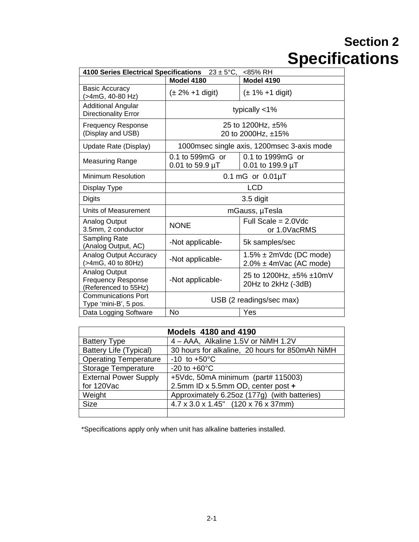# **Section 2 Specifications**

| <b>4100 Series Electrical Specifications</b><br><85% RH<br>$23 \pm 5^{\circ}C$ , |                                                         |                                                              |  |  |  |
|----------------------------------------------------------------------------------|---------------------------------------------------------|--------------------------------------------------------------|--|--|--|
|                                                                                  | <b>Model 4180</b>                                       | Model 4190                                                   |  |  |  |
| <b>Basic Accuracy</b><br>>4mG, 40-80 Hz)                                         | $(\pm 1\% + 1 \text{ digit})$<br>$(\pm 2\% + 1)$ digit) |                                                              |  |  |  |
| <b>Additional Angular</b><br><b>Directionality Error</b>                         | typically $<$ 1%                                        |                                                              |  |  |  |
| <b>Frequency Response</b><br>(Display and USB)                                   | 25 to 1200Hz, ±5%<br>20 to 2000Hz, ±15%                 |                                                              |  |  |  |
| Update Rate (Display)                                                            | 1000msec single axis, 1200msec 3-axis mode              |                                                              |  |  |  |
| <b>Measuring Range</b>                                                           | 0.1 to 599mG or<br>0.01 to 59.9 $\mu$ T                 | 0.1 to 1999mG or<br>0.01 to 199.9 $\mu$ T                    |  |  |  |
| Minimum Resolution                                                               | $0.1 \text{ mG}$ or $0.01 \mu T$                        |                                                              |  |  |  |
| Display Type                                                                     | <b>LCD</b>                                              |                                                              |  |  |  |
| <b>Digits</b>                                                                    | 3.5 digit                                               |                                                              |  |  |  |
| <b>Units of Measurement</b>                                                      | mGauss, µTesla                                          |                                                              |  |  |  |
| Analog Output<br>3.5mm, 2 conductor                                              | Full Scale = $2.0$ Vdc<br><b>NONE</b><br>or 1.0VacRMS   |                                                              |  |  |  |
| Sampling Rate<br>(Analog Output, AC)                                             | -Not applicable-                                        | 5k samples/sec                                               |  |  |  |
| <b>Analog Output Accuracy</b><br>(>4mG, 40 to 80Hz)                              | -Not applicable-                                        | $1.5\% \pm 2m$ Vdc (DC mode)<br>$2.0\% \pm 4m$ Vac (AC mode) |  |  |  |
| Analog Output<br><b>Frequency Response</b><br>(Referenced to 55Hz)               | -Not applicable-                                        | 25 to 1200Hz, ±5% ±10mV<br>20Hz to 2kHz (-3dB)               |  |  |  |
| <b>Communications Port</b><br>Type 'mini-B', 5 pos.                              | USB (2 readings/sec max)                                |                                                              |  |  |  |
| Data Logging Software                                                            | No<br>Yes                                               |                                                              |  |  |  |

| <b>Models 4180 and 4190</b>   |                                                  |  |  |  |
|-------------------------------|--------------------------------------------------|--|--|--|
| <b>Battery Type</b>           | 4 - AAA, Alkaline 1.5V or NiMH 1.2V              |  |  |  |
| <b>Battery Life (Typical)</b> | 30 hours for alkaline, 20 hours for 850mAh NiMH  |  |  |  |
| <b>Operating Temperature</b>  | $-10$ to $+50^{\circ}$ C                         |  |  |  |
| <b>Storage Temperature</b>    | $-20$ to $+60^{\circ}$ C                         |  |  |  |
| <b>External Power Supply</b>  | +5Vdc, 50mA minimum (part# 115003)               |  |  |  |
| for 120Vac                    | 2.5mm ID x 5.5mm OD, center post +               |  |  |  |
| Weight                        | Approximately 6.25oz (177g) (with batteries)     |  |  |  |
| <b>Size</b>                   | $4.7 \times 3.0 \times 1.45$ " (120 x 76 x 37mm) |  |  |  |
|                               |                                                  |  |  |  |

\*Specifications apply only when unit has alkaline batteries installed.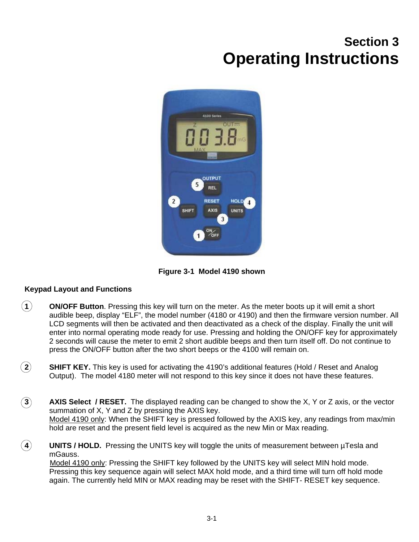# **Section 3 Operating Instructions**



**Figure 3-1 Model 4190 shown** 

## **Keypad Layout and Functions**

- **1 ON/OFF Button**. Pressing this key will turn on the meter. As the meter boots up it will emit a short audible beep, display "ELF", the model number (4180 or 4190) and then the firmware version number. All LCD segments will then be activated and then deactivated as a check of the display. Finally the unit will enter into normal operating mode ready for use. Pressing and holding the ON/OFF key for approximately 2 seconds will cause the meter to emit 2 short audible beeps and then turn itself off. Do not continue to press the ON/OFF button after the two short beeps or the 4100 will remain on.
- **2 SHIFT KEY.** This key is used for activating the 4190's additional features (Hold / Reset and Analog Output). The model 4180 meter will not respond to this key since it does not have these features.
- **3 AXIS Select / RESET.** The displayed reading can be changed to show the X, Y or Z axis, or the vector summation of X, Y and Z by pressing the AXIS key. Model 4190 only: When the SHIFT key is pressed followed by the AXIS key, any readings from max/min hold are reset and the present field level is acquired as the new Min or Max reading.
- **4 UNITS / HOLD.** Pressing the UNITS key will toggle the units of measurement between µTesla and mGauss.

Model 4190 only: Pressing the SHIFT key followed by the UNITS key will select MIN hold mode. Pressing this key sequence again will select MAX hold mode, and a third time will turn off hold mode again. The currently held MIN or MAX reading may be reset with the SHIFT- RESET key sequence.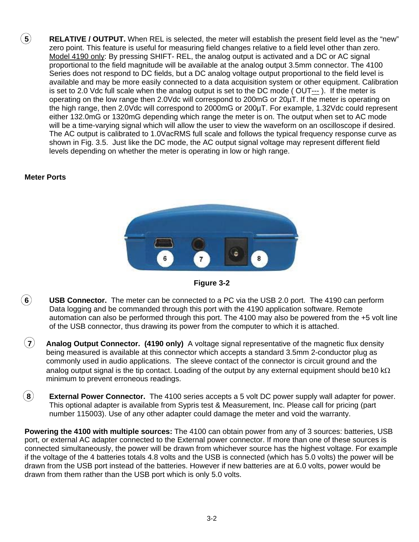$\tilde{b}$  **RELATIVE / OUTPUT.** When REL is selected, the meter will establish the present field level as the "new" zero point. This feature is useful for measuring field changes relative to a field level other than zero. Model 4190 only: By pressing SHIFT- REL, the analog output is activated and a DC or AC signal proportional to the field magnitude will be available at the analog output 3.5mm connector. The 4100 Series does not respond to DC fields, but a DC analog voltage output proportional to the field level is available and may be more easily connected to a data acquisition system or other equipment. Calibration is set to 2.0 Vdc full scale when the analog output is set to the DC mode ( OUT--- ). If the meter is operating on the low range then 2.0Vdc will correspond to 200mG or 20µT. If the meter is operating on the high range, then 2.0Vdc will correspond to 2000mG or 200µT. For example, 1.32Vdc could represent either 132.0mG or 1320mG depending which range the meter is on. The output when set to AC mode will be a time-varying signal which will allow the user to view the waveform on an oscilloscope if desired. The AC output is calibrated to 1.0VacRMS full scale and follows the typical frequency response curve as shown in Fig. 3.5. Just like the DC mode, the AC output signal voltage may represent different field levels depending on whether the meter is operating in low or high range.

### **Meter Ports**





- **6 USB Connector.** The meter can be connected to a PC via the USB 2.0 port. The 4190 can perform Data logging and be commanded through this port with the 4190 application software. Remote automation can also be performed through this port. The 4100 may also be powered from the +5 volt line of the USB connector, thus drawing its power from the computer to which it is attached.
- **7 Analog Output Connector. (4190 only)** A voltage signal representative of the magnetic flux density being measured is available at this connector which accepts a standard 3.5mm 2-conductor plug as commonly used in audio applications. The sleeve contact of the connector is circuit ground and the analog output signal is the tip contact. Loading of the output by any external equipment should be10 k $\Omega$ minimum to prevent erroneous readings.
- **8 External Power Connector.** The 4100 series accepts a 5 volt DC power supply wall adapter for power. This optional adapter is available from Sypris test & Measurement, Inc. Please call for pricing (part number 115003). Use of any other adapter could damage the meter and void the warranty.

**Powering the 4100 with multiple sources:** The 4100 can obtain power from any of 3 sources: batteries, USB port, or external AC adapter connected to the External power connector. If more than one of these sources is connected simultaneously, the power will be drawn from whichever source has the highest voltage. For example if the voltage of the 4 batteries totals 4.8 volts and the USB is connected (which has 5.0 volts) the power will be drawn from the USB port instead of the batteries. However if new batteries are at 6.0 volts, power would be drawn from them rather than the USB port which is only 5.0 volts.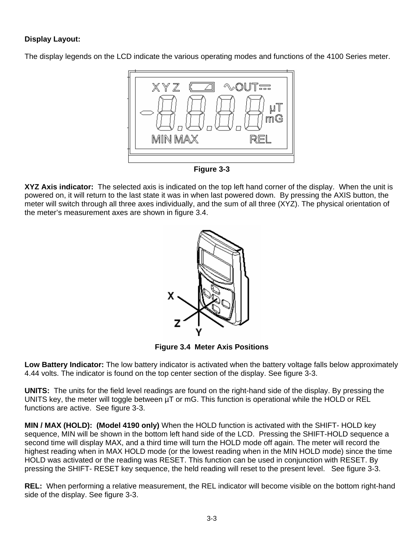# **Display Layout:**

The display legends on the LCD indicate the various operating modes and functions of the 4100 Series meter.



**Figure 3-3** 

**XYZ Axis indicator:** The selected axis is indicated on the top left hand corner of the display. When the unit is powered on, it will return to the last state it was in when last powered down. By pressing the AXIS button, the meter will switch through all three axes individually, and the sum of all three (XYZ). The physical orientation of the meter's measurement axes are shown in figure 3.4.



**Figure 3.4 Meter Axis Positions** 

**Low Battery Indicator:** The low battery indicator is activated when the battery voltage falls below approximately 4.44 volts. The indicator is found on the top center section of the display. See figure 3-3.

**UNITS:** The units for the field level readings are found on the right-hand side of the display. By pressing the UNITS key, the meter will toggle between µT or mG. This function is operational while the HOLD or REL functions are active. See figure 3-3.

**MIN / MAX (HOLD): (Model 4190 only)** When the HOLD function is activated with the SHIFT- HOLD key sequence, MIN will be shown in the bottom left hand side of the LCD. Pressing the SHIFT-HOLD sequence a second time will display MAX, and a third time will turn the HOLD mode off again. The meter will record the highest reading when in MAX HOLD mode (or the lowest reading when in the MIN HOLD mode) since the time HOLD was activated or the reading was RESET. This function can be used in conjunction with RESET. By pressing the SHIFT- RESET key sequence, the held reading will reset to the present level. See figure 3-3.

**REL:** When performing a relative measurement, the REL indicator will become visible on the bottom right-hand side of the display. See figure 3-3.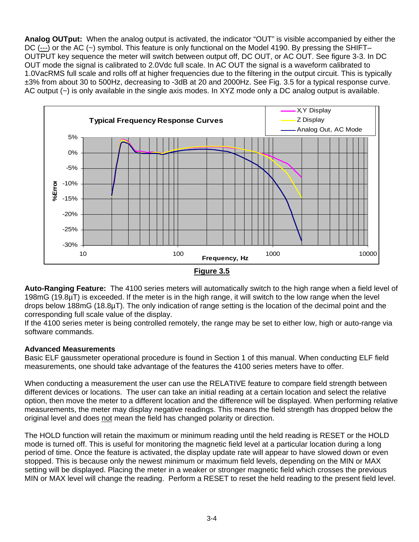**Analog OUTput:** When the analog output is activated, the indicator "OUT" is visible accompanied by either the DC (---) or the AC (~) symbol. This feature is only functional on the Model 4190. By pressing the SHIFT– OUTPUT key sequence the meter will switch between output off, DC OUT, or AC OUT. See figure 3-3. In DC OUT mode the signal is calibrated to 2.0Vdc full scale. In AC OUT the signal is a waveform calibrated to 1.0VacRMS full scale and rolls off at higher frequencies due to the filtering in the output circuit. This is typically ±3% from about 30 to 500Hz, decreasing to -3dB at 20 and 2000Hz. See Fig. 3.5 for a typical response curve. AC output (~) is only available in the single axis modes. In XYZ mode only a DC analog output is available.



**Auto-Ranging Feature:** The 4100 series meters will automatically switch to the high range when a field level of 198mG (19.8µT) is exceeded. If the meter is in the high range, it will switch to the low range when the level drops below 188mG (18.8µT). The only indication of range setting is the location of the decimal point and the corresponding full scale value of the display.

If the 4100 series meter is being controlled remotely, the range may be set to either low, high or auto-range via software commands.

### **Advanced Measurements**

Basic ELF gaussmeter operational procedure is found in Section 1 of this manual. When conducting ELF field measurements, one should take advantage of the features the 4100 series meters have to offer.

When conducting a measurement the user can use the RELATIVE feature to compare field strength between different devices or locations. The user can take an initial reading at a certain location and select the relative option, then move the meter to a different location and the difference will be displayed. When performing relative measurements, the meter may display negative readings. This means the field strength has dropped below the original level and does not mean the field has changed polarity or direction.

The HOLD function will retain the maximum or minimum reading until the held reading is RESET or the HOLD mode is turned off. This is useful for monitoring the magnetic field level at a particular location during a long period of time. Once the feature is activated, the display update rate will appear to have slowed down or even stopped. This is because only the newest minimum or maximum field levels, depending on the MIN or MAX setting will be displayed. Placing the meter in a weaker or stronger magnetic field which crosses the previous MIN or MAX level will change the reading. Perform a RESET to reset the held reading to the present field level.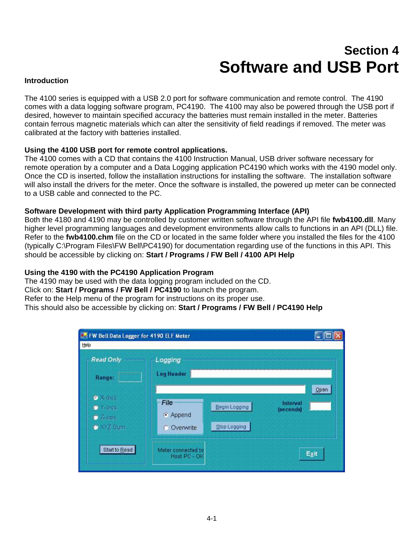# **Section 4 Software and USB Port**

### **Introduction**

The 4100 series is equipped with a USB 2.0 port for software communication and remote control. The 4190 comes with a data logging software program, PC4190. The 4100 may also be powered through the USB port if desired, however to maintain specified accuracy the batteries must remain installed in the meter. Batteries contain ferrous magnetic materials which can alter the sensitivity of field readings if removed. The meter was calibrated at the factory with batteries installed.

### **Using the 4100 USB port for remote control applications.**

The 4100 comes with a CD that contains the 4100 Instruction Manual, USB driver software necessary for remote operation by a computer and a Data Logging application PC4190 which works with the 4190 model only. Once the CD is inserted, follow the installation instructions for installing the software. The installation software will also install the drivers for the meter. Once the software is installed, the powered up meter can be connected to a USB cable and connected to the PC.

### **Software Development with third party Application Programming Interface (API)**

Both the 4180 and 4190 may be controlled by customer written software through the API file **fwb4100.dll**. Many higher level programming languages and development environments allow calls to functions in an API (DLL) file. Refer to the **fwb4100.chm** file on the CD or located in the same folder where you installed the files for the 4100 (typically C:\Program Files\FW Bell\PC4190) for documentation regarding use of the functions in this API. This should be accessible by clicking on: **Start / Programs / FW Bell / 4100 API Help** 

#### **Using the 4190 with the PC4190 Application Program**

The 4190 may be used with the data logging program included on the CD. Click on: **Start / Programs / FW Bell / PC4190** to launch the program. Refer to the Help menu of the program for instructions on its proper use. This should also be accessible by clicking on: **Start / Programs / FW Bell / PC4190 Help** 

| FW Bell Data Logger for 4190 ELF Meter<br>Help                       |                                    |                                      |                               |
|----------------------------------------------------------------------|------------------------------------|--------------------------------------|-------------------------------|
| - Read Only<br>Range:                                                | Logging<br><b>Log Header</b>       |                                      |                               |
| · Xaxis<br>$\bullet$ Y-axis<br>$\bullet$ 7-axis.<br><b>C</b> XYZ Sum | File<br>Append<br>C Overwrite      | <b>Begin Logging</b><br>Stop Logging | Open<br>Interval<br>(seconds) |
| Start to Read                                                        | Meter connected to<br>Host PC - OK |                                      | Exit                          |